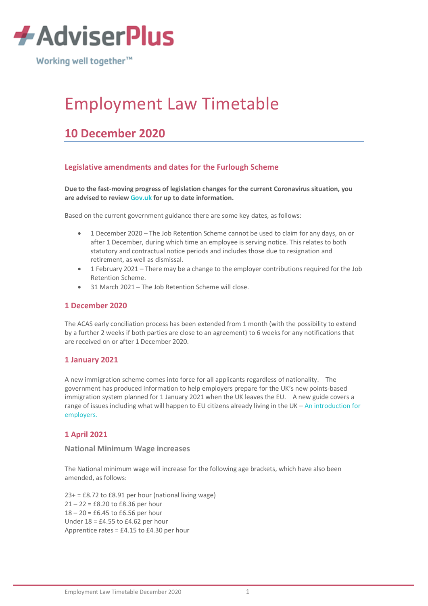

Working well together<sup>™</sup>

# Employment Law Timetable

# **10 December 2020**

# **Legislative amendments and dates for the Furlough Scheme**

**Due to the fast-moving progress of legislation changes for the current Coronavirus situation, you are advised to review [Gov.uk](https://www.gov.uk/coronavirus) for up to date information.**

Based on the current government guidance there are some key dates, as follows:

- 1 December 2020 The Job Retention Scheme cannot be used to claim for any days, on or after 1 December, during which time an employee is serving notice. This relates to both statutory and contractual notice periods and includes those due to resignation and retirement, as well as dismissal.
- 1 February 2021 There may be a change to the employer contributions required for the Job Retention Scheme.
- 31 March 2021 The Job Retention Scheme will close.

#### **1 December 2020**

The ACAS early conciliation process has been extended from 1 month (with the possibility to extend by a further 2 weeks if both parties are close to an agreement) to 6 weeks for any notifications that are received on or after 1 December 2020.

#### **1 January 2021**

A new immigration scheme comes into force for all applicants regardless of nationality. The government has produced information to help employers prepare for the UK's new points-based immigration system planned for 1 January 2021 when the UK leaves the EU. A new guide covers a range of issues including what will happen to EU citizens already living in the UK – An introduction for employers.

# **1 April 2021**

#### **National Minimum Wage increases**

The National minimum wage will increase for the following age brackets, which have also been amended, as follows:

 $23+ = £8.72$  to  $£8.91$  per hour (national living wage) 21 – 22 = £8.20 to £8.36 per hour 18 – 20 = £6.45 to £6.56 per hour Under 18 = £4.55 to £4.62 per hour Apprentice rates = £4.15 to £4.30 per hour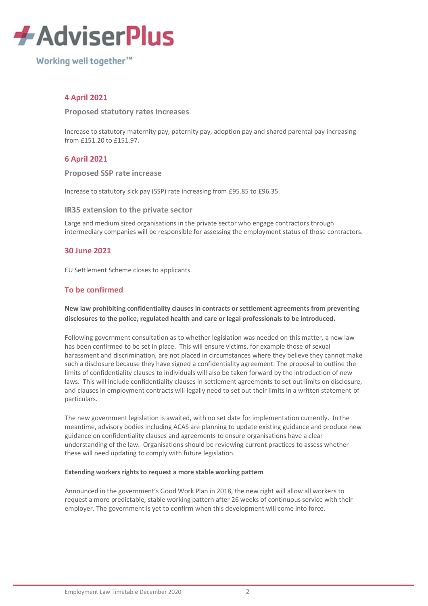

Working well together<sup>™</sup>

# **4 April 2021**

#### **Proposed statutory rates increases**

Increase to statutory maternity pay, paternity pay, adoption pay and shared parental pay increasing from £151.20 to £151.97.

# **6 April 2021**

#### **Proposed SSP rate increase**

Increase to statutory sick pay (SSP) rate increasing from £95.85 to £96.35.

#### **IR35 extension to the private sector**

Large and medium sized organisations in the private sector who engage contractors through [int](https://www.cipd.co.uk/knowledge/fundamentals/emp-law/about/legislation-updates)ermediary companies will be responsible for assessing the employment status of those contractors.

# **30 June 2021**

EU Settlement Scheme closes to applicants.

# **To be confirmed**

#### **New law prohibiting confidentiality clauses in contracts or settlement agreements from preventing disclosures to the police, regulated health and care or legal professionals to be introduced.**

Following government consultation as to whether legislation was needed on this matter, a new law has been confirmed to be set in place. This will ensure victims, for example those of sexual harassment and discrimination, are not placed in circumstances where they believe they cannot make such a disclosure because they have signed a confidentiality agreement. The proposal to outline the limits of confidentiality clauses to individuals will also be taken forward by the introduction of new laws. This will include confidentiality clauses in settlement agreements to set out limits on disclosure, and clauses in employment contracts will legally need to set out their limits in a written statement of particulars.

The new government legislation is awaited, with no set date for implementation currently. In the meantime, advisory bodies including ACAS are planning to update existing guidance and produce new guidance on confidentiality clauses and agreements to ensure organisations have a clear understanding of the law. Organisations should be reviewing current practices to assess whether these will need updating to comply with future legislation.

#### **Extending workers rights to request a more stable working pattern**

Announced in the government's Good Work Plan in 2018, the new right will allow all workers to request a more predictable, stable working pattern after 26 weeks of continuous service with their employer. The government is yet to confirm when this development will come into force.